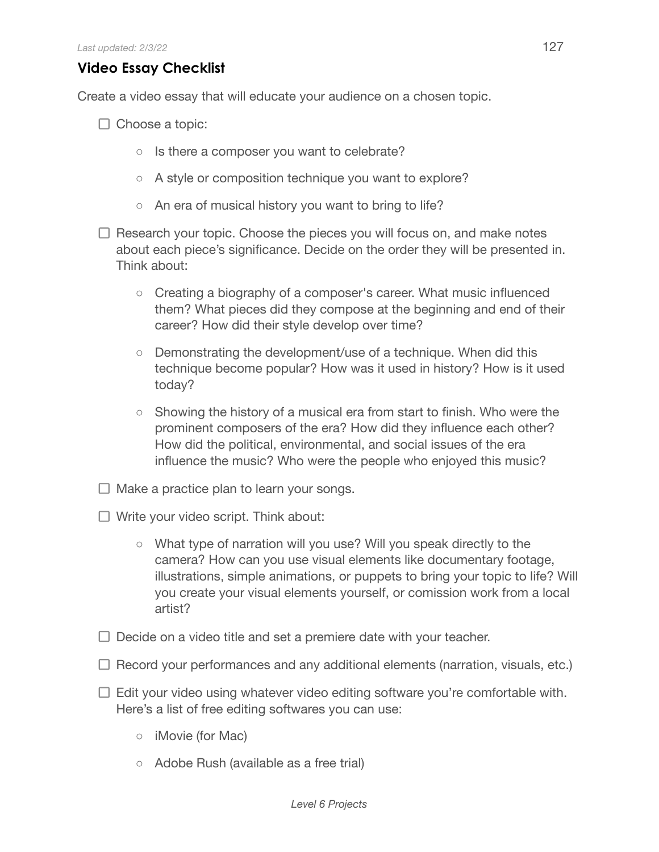## **Video Essay Checklist**

Create a video essay that will educate your audience on a chosen topic.

- $\Box$  Choose a topic:
	- Is there a composer you want to celebrate?
	- A style or composition technique you want to explore?
	- An era of musical history you want to bring to life?
- $\Box$  Research your topic. Choose the pieces you will focus on, and make notes about each piece's significance. Decide on the order they will be presented in. Think about:
	- Creating a biography of a composer's career. What music influenced them? What pieces did they compose at the beginning and end of their career? How did their style develop over time?
	- Demonstrating the development/use of a technique. When did this technique become popular? How was it used in history? How is it used today?
	- Showing the history of a musical era from start to finish. Who were the prominent composers of the era? How did they influence each other? How did the political, environmental, and social issues of the era influence the music? Who were the people who enjoyed this music?
- $\Box$  Make a practice plan to learn your songs.
- $\Box$  Write your video script. Think about:
	- What type of narration will you use? Will you speak directly to the camera? How can you use visual elements like documentary footage, illustrations, simple animations, or puppets to bring your topic to life? Will you create your visual elements yourself, or comission work from a local artist?
- $\Box$  Decide on a video title and set a premiere date with your teacher.
- $\Box$  Record your performances and any additional elements (narration, visuals, etc.)
- $\Box$  Edit your video using whatever video editing software you're comfortable with. Here's a list of free editing softwares you can use:
	- iMovie (for Mac)
	- Adobe Rush (available as a free trial)